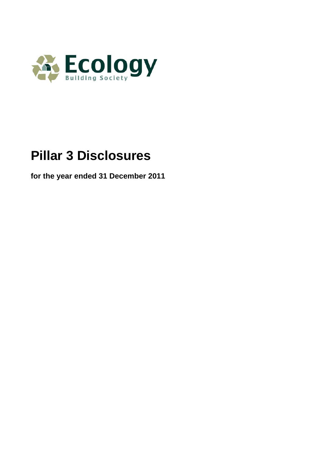

# **Pillar 3 Disclosures**

**for the year ended 31 December 2011**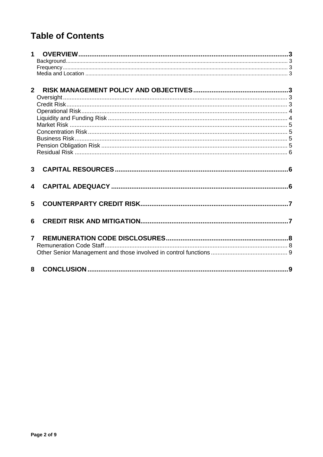# **Table of Contents**

| $\mathbf 1$             |   |  |
|-------------------------|---|--|
| 2 <sup>1</sup>          |   |  |
| $\mathbf{3}$            |   |  |
| $\overline{\mathbf{4}}$ |   |  |
| 5                       |   |  |
| 6                       |   |  |
| $\overline{7}$          |   |  |
|                         | 8 |  |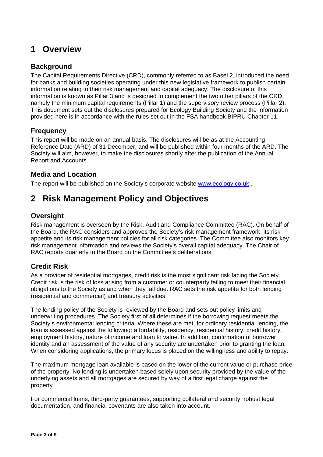# <span id="page-2-0"></span>**1 Overview**

### **Background**

The Capital Requirements Directive (CRD), commonly referred to as Basel 2, introduced the need for banks and building societies operating under this new legislative framework to publish certain information relating to their risk management and capital adequacy. The disclosure of this information is known as Pillar 3 and is designed to complement the two other pillars of the CRD, namely the minimum capital requirements (Pillar 1) and the supervisory review process (Pillar 2). This document sets out the disclosures prepared for Ecology Building Society and the information provided here is in accordance with the rules set out in the FSA handbook BIPRU Chapter 11.

### **Frequency**

This report will be made on an annual basis. The disclosures will be as at the Accounting Reference Date (ARD) of 31 December, and will be published within four months of the ARD. The Society will aim, however, to make the disclosures shortly after the publication of the Annual Report and Accounts.

### **Media and Location**

The report will be published on the Society's corporate website [www.ecology.co.uk](http://www.ecology.co.uk/) .

# **2 Risk Management Policy and Objectives**

### **Oversight**

Risk management is overseen by the Risk, Audit and Compliance Committee (RAC). On behalf of the Board, the RAC considers and approves the Society's risk management framework, its risk appetite and its risk management policies for all risk categories. The Committee also monitors key risk management information and reviews the Society's overall capital adequacy. The Chair of RAC reports quarterly to the Board on the Committee's deliberations.

### **Credit Risk**

As a provider of residential mortgages, credit risk is the most significant risk facing the Society. Credit risk is the risk of loss arising from a customer or counterparty failing to meet their financial obligations to the Society as and when they fall due. RAC sets the risk appetite for both lending (residential and commercial) and treasury activities.

The lending policy of the Society is reviewed by the Board and sets out policy limits and underwriting procedures. The Society first of all determines if the borrowing request meets the Society's environmental lending criteria. Where these are met, for ordinary residential lending, the loan is assessed against the following: affordability, residency, residential history, credit history, employment history, nature of income and loan to value. In addition, confirmation of borrower identity and an assessment of the value of any security are undertaken prior to granting the loan. When considering applications, the primary focus is placed on the willingness and ability to repay.

The maximum mortgage loan available is based on the lower of the current value or purchase price of the property. No lending is undertaken based solely upon security provided by the value of the underlying assets and all mortgages are secured by way of a first legal charge against the property.

For commercial loans, third-party guarantees, supporting collateral and security, robust legal documentation, and financial covenants are also taken into account.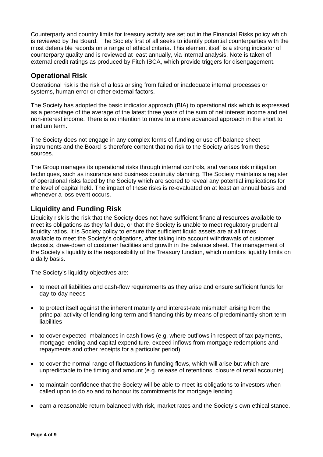<span id="page-3-0"></span>Counterparty and country limits for treasury activity are set out in the Financial Risks policy which is reviewed by the Board. The Society first of all seeks to identify potential counterparties with the most defensible records on a range of ethical criteria. This element itself is a strong indicator of counterparty quality and is reviewed at least annually, via internal analysis. Note is taken of external credit ratings as produced by Fitch IBCA, which provide triggers for disengagement.

#### **Operational Risk**

Operational risk is the risk of a loss arising from failed or inadequate internal processes or systems, human error or other external factors.

The Society has adopted the basic indicator approach (BIA) to operational risk which is expressed as a percentage of the average of the latest three years of the sum of net interest income and net non-interest income. There is no intention to move to a more advanced approach in the short to medium term.

The Society does not engage in any complex forms of funding or use off-balance sheet instruments and the Board is therefore content that no risk to the Society arises from these sources.

The Group manages its operational risks through internal controls, and various risk mitigation techniques, such as insurance and business continuity planning. The Society maintains a register of operational risks faced by the Society which are scored to reveal any potential implications for the level of capital held. The impact of these risks is re-evaluated on at least an annual basis and whenever a loss event occurs.

#### **Liquidity and Funding Risk**

Liquidity risk is the risk that the Society does not have sufficient financial resources available to meet its obligations as they fall due, or that the Society is unable to meet regulatory prudential liquidity ratios. It is Society policy to ensure that sufficient liquid assets are at all times available to meet the Society's obligations, after taking into account withdrawals of customer deposits, draw-down of customer facilities and growth in the balance sheet. The management of the Society's liquidity is the responsibility of the Treasury function, which monitors liquidity limits on a daily basis.

The Society's liquidity objectives are:

- to meet all liabilities and cash-flow requirements as they arise and ensure sufficient funds for day-to-day needs
- to protect itself against the inherent maturity and interest-rate mismatch arising from the principal activity of lending long-term and financing this by means of predominantly short-term **liabilities**
- to cover expected imbalances in cash flows (e.g. where outflows in respect of tax payments, mortgage lending and capital expenditure, exceed inflows from mortgage redemptions and repayments and other receipts for a particular period)
- to cover the normal range of fluctuations in funding flows, which will arise but which are unpredictable to the timing and amount (e.g. release of retentions, closure of retail accounts)
- to maintain confidence that the Society will be able to meet its obligations to investors when called upon to do so and to honour its commitments for mortgage lending
- earn a reasonable return balanced with risk, market rates and the Society's own ethical stance.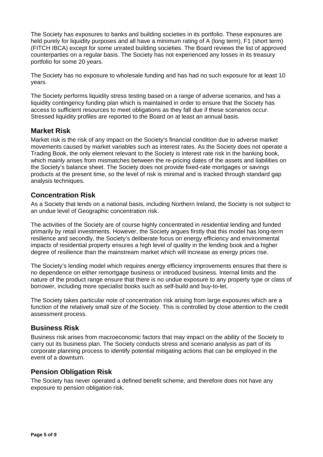<span id="page-4-0"></span>The Society has exposures to banks and building societies in its portfolio. These exposures are held purely for liquidity purposes and all have a minimum rating of A (long term), F1 (short term) (FITCH IBCA) except for some unrated building societies. The Board reviews the list of approved counterparties on a regular basis. The Society has not experienced any losses in its treasury portfolio for some 20 years.

The Society has no exposure to wholesale funding and has had no such exposure for at least 10 years.

The Society performs liquidity stress testing based on a range of adverse scenarios, and has a liquidity contingency funding plan which is maintained in order to ensure that the Society has access to sufficient resources to meet obligations as they fall due if these scenarios occur. Stressed liquidity profiles are reported to the Board on at least an annual basis.

#### **Market Risk**

Market risk is the risk of any impact on the Society's financial condition due to adverse market movements caused by market variables such as interest rates. As the Society does not operate a Trading Book, the only element relevant to the Society is interest rate risk in the banking book, which mainly arises from mismatches between the re-pricing dates of the assets and liabilities on the Society's balance sheet. The Society does not provide fixed-rate mortgages or savings products at the present time, so the level of risk is minimal and is tracked through standard gap analysis techniques.

### **Concentration Risk**

As a Society that lends on a national basis, including Northern Ireland, the Society is not subject to an undue level of Geographic concentration risk.

The activities of the Society are of course highly concentrated in residential lending and funded primarily by retail investments. However, the Society argues firstly that this model has long-term resilience and secondly, the Society's deliberate focus on energy efficiency and environmental impacts of residential property ensures a high level of quality in the lending book and a higher degree of resilience than the mainstream market which will increase as energy prices rise.

The Society's lending model which requires energy efficiency improvements ensures that there is no dependence on either remortgage business or introduced business. Internal limits and the nature of the product range ensure that there is no undue exposure to any property type or class of borrower, including more specialist books such as self-build and buy-to-let.

The Society takes particular note of concentration risk arising from large exposures which are a function of the relatively small size of the Society. This is controlled by close attention to the credit assessment process.

#### **Business Risk**

Business risk arises from macroeconomic factors that may impact on the ability of the Society to carry out its business plan. The Society conducts stress and scenario analysis as part of its corporate planning process to identify potential mitigating actions that can be employed in the event of a downturn.

#### **Pension Obligation Risk**

The Society has never operated a defined benefit scheme, and therefore does not have any exposure to pension obligation risk.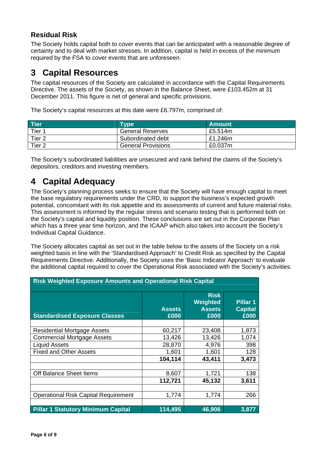### <span id="page-5-0"></span>**Residual Risk**

The Society holds capital both to cover events that can be anticipated with a reasonable degree of certainty and to deal with market stresses. In addition, capital is held in excess of the minimum required by the FSA to cover events that are unforeseen.

### **3 Capital Resources**

The capital resources of the Society are calculated in accordance with the Capital Requirements Directive. The assets of the Society, as shown in the Balance Sheet, were £103.452m at 31 December 2011. This figure is net of general and specific provisions.

The Society's capital resources at this date were £6.797m, comprised of:

| <b>Tier</b> | <b>Type</b>               | <b>Amount</b> |
|-------------|---------------------------|---------------|
| Tier 1      | <b>General Reserves</b>   | £5.514m       |
| Tier 2      | Subordinated debt         | £1.246m       |
| Tier 2      | <b>General Provisions</b> | £0.037m       |

The Society's subordinated liabilities are unsecured and rank behind the claims of the Society's depositors, creditors and investing members.

# **4 Capital Adequacy**

The Society's planning process seeks to ensure that the Society will have enough capital to meet the base regulatory requirements under the CRD, to support the business's expected growth potential, concomitant with its risk appetite and its assessments of current and future material risks. This assessment is informed by the regular stress and scenario testing that is performed both on the Society's capital and liquidity position. These conclusions are set out in the Corporate Plan which has a three year time horizon, and the ICAAP which also takes into account the Society's Individual Capital Guidance.

The Society allocates capital as set out in the table below to the assets of the Society on a risk weighted basis in line with the 'Standardised Approach' to Credit Risk as specified by the Capital Requirements Directive. Additionally, the Society uses the 'Basic Indicator Approach' to evaluate the additional capital required to cover the Operational Risk associated with the Society's activities.

| <b>Risk Weighted Exposure Amounts and Operational Risk Capital</b> |                       |                                                  |                                    |
|--------------------------------------------------------------------|-----------------------|--------------------------------------------------|------------------------------------|
| <b>Standardised Exposure Classes</b>                               | <b>Assets</b><br>£000 | <b>Risk</b><br>Weighted<br><b>Assets</b><br>£000 | Pillar 1<br><b>Capital</b><br>£000 |
|                                                                    |                       |                                                  |                                    |
| <b>Residential Mortgage Assets</b>                                 | 60,217                | 23,408                                           | 1,873                              |
| <b>Commercial Mortgage Assets</b>                                  | 13,426                | 13,426                                           | 1,074                              |
| <b>Liquid Assets</b>                                               | 28,870                | 4,976                                            | 398                                |
| <b>Fixed and Other Assets</b>                                      | 1,601                 | 1,601                                            | 128                                |
|                                                                    | 104,114               | 43,411                                           | 3,473                              |
|                                                                    |                       |                                                  |                                    |
| Off Balance Sheet Items                                            | 8,607                 | 1,721                                            | 138                                |
|                                                                    | 112,721               | 45,132                                           | 3,611                              |
|                                                                    |                       |                                                  |                                    |
| <b>Operational Risk Capital Requirement</b>                        | 1,774                 | 1,774                                            | 266                                |
|                                                                    |                       |                                                  |                                    |
| <b>Pillar 1 Statutory Minimum Capital</b>                          | 114,495               | 46,906                                           | 3,877                              |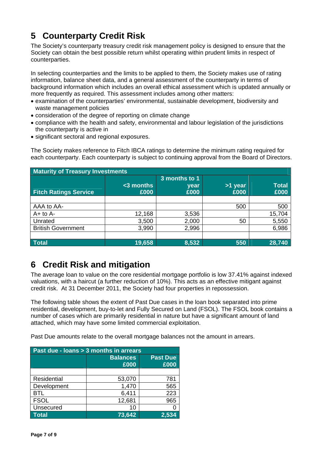# <span id="page-6-0"></span>**5 Counterparty Credit Risk**

The Society's counterparty treasury credit risk management policy is designed to ensure that the Society can obtain the best possible return whilst operating within prudent limits in respect of counterparties.

In selecting counterparties and the limits to be applied to them, the Society makes use of rating information, balance sheet data, and a general assessment of the counterparty in terms of background information which includes an overall ethical assessment which is updated annually or more frequently as required. This assessment includes among other matters:

- examination of the counterparties' environmental, sustainable development, biodiversity and waste management policies
- consideration of the degree of reporting on climate change
- compliance with the health and safety, environmental and labour legislation of the jurisdictions the counterparty is active in
- significant sectoral and regional exposures.

The Society makes reference to Fitch IBCA ratings to determine the minimum rating required for each counterparty. Each counterparty is subject to continuing approval from the Board of Directors.

| <b>Maturity of Treasury Investments</b> |                            |                               |                        |                      |
|-----------------------------------------|----------------------------|-------------------------------|------------------------|----------------------|
| <b>Fitch Ratings Service</b>            | $\approx$ 3 months<br>£000 | 3 months to 1<br>year<br>£000 | <b>S1</b> year<br>£000 | <b>Total</b><br>£000 |
|                                         |                            |                               |                        |                      |
| AAA to AA-                              |                            |                               | 500                    | 500                  |
| $A+$ to $A-$                            | 12,168                     | 3,536                         |                        | 15,704               |
| Unrated                                 | 3,500                      | 2,000                         | 50                     | 5,550                |
| <b>British Government</b>               | 3,990                      | 2,996                         |                        | 6,986                |
|                                         |                            |                               |                        |                      |
| <b>Total</b>                            | 19,658                     | 8,532                         | 550                    | 28,740               |

# **6 Credit Risk and mitigation**

The average loan to value on the core residential mortgage portfolio is low 37.41% against indexed valuations, with a haircut (a further reduction of 10%). This acts as an effective mitigant against credit risk. At 31 December 2011, the Society had four properties in repossession.

The following table shows the extent of Past Due cases in the loan book separated into prime residential, development, buy-to-let and Fully Secured on Land (FSOL). The FSOL book contains a number of cases which are primarily residential in nature but have a significant amount of land attached, which may have some limited commercial exploitation.

Past Due amounts relate to the overall mortgage balances not the amount in arrears.

| Past due - Ioans > 3 months in arrears |                         |                         |  |  |
|----------------------------------------|-------------------------|-------------------------|--|--|
|                                        | <b>Balances</b><br>£000 | <b>Past Due</b><br>£000 |  |  |
|                                        |                         |                         |  |  |
| Residential                            | 53,070                  | 781                     |  |  |
| Development                            | 1,470                   | 565                     |  |  |
| <b>BTL</b>                             | 6,411                   | 223                     |  |  |
| <b>FSOL</b>                            | 12,681                  | 965                     |  |  |
| Unsecured                              | 10                      |                         |  |  |
| Total                                  | 73,642                  | 2,534                   |  |  |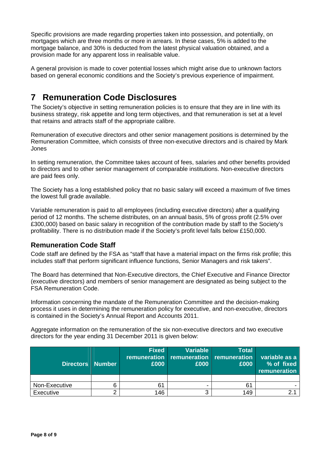<span id="page-7-0"></span>Specific provisions are made regarding properties taken into possession, and potentially, on mortgages which are three months or more in arrears. In these cases, 5% is added to the mortgage balance, and 30% is deducted from the latest physical valuation obtained, and a provision made for any apparent loss in realisable value.

A general provision is made to cover potential losses which might arise due to unknown factors based on general economic conditions and the Society's previous experience of impairment.

# **7 Remuneration Code Disclosures**

The Society's objective in setting remuneration policies is to ensure that they are in line with its business strategy, risk appetite and long term objectives, and that remuneration is set at a level that retains and attracts staff of the appropriate calibre.

Remuneration of executive directors and other senior management positions is determined by the Remuneration Committee, which consists of three non-executive directors and is chaired by Mark Jones

In setting remuneration, the Committee takes account of fees, salaries and other benefits provided to directors and to other senior management of comparable institutions. Non-executive directors are paid fees only.

The Society has a long established policy that no basic salary will exceed a maximum of five times the lowest full grade available.

Variable remuneration is paid to all employees (including executive directors) after a qualifying period of 12 months. The scheme distributes, on an annual basis, 5% of gross profit (2.5% over £300,000) based on basic salary in recognition of the contribution made by staff to the Society's profitability. There is no distribution made if the Society's profit level falls below £150,000.

### **Remuneration Code Staff**

Code staff are defined by the FSA as "staff that have a material impact on the firms risk profile; this includes staff that perform significant influence functions, Senior Managers and risk takers".

The Board has determined that Non-Executive directors, the Chief Executive and Finance Director (executive directors) and members of senior management are designated as being subject to the FSA Remuneration Code.

Information concerning the mandate of the Remuneration Committee and the decision-making process it uses in determining the remuneration policy for executive, and non-executive, directors is contained in the Society's Annual Report and Accounts 2011.

Aggregate information on the remuneration of the six non-executive directors and two executive directors for the year ending 31 December 2011 is given below:

| Directors Number | <b>Fixed</b><br>£000 | <b>Variable</b><br>remuneration remuneration remuneration<br>£000 | Total<br>£000 | variable as a<br>% of fixed<br>remuneration |
|------------------|----------------------|-------------------------------------------------------------------|---------------|---------------------------------------------|
|                  |                      |                                                                   |               |                                             |
| Non-Executive    | 61                   |                                                                   | 61            |                                             |
| Executive        | 146                  |                                                                   | 149           |                                             |